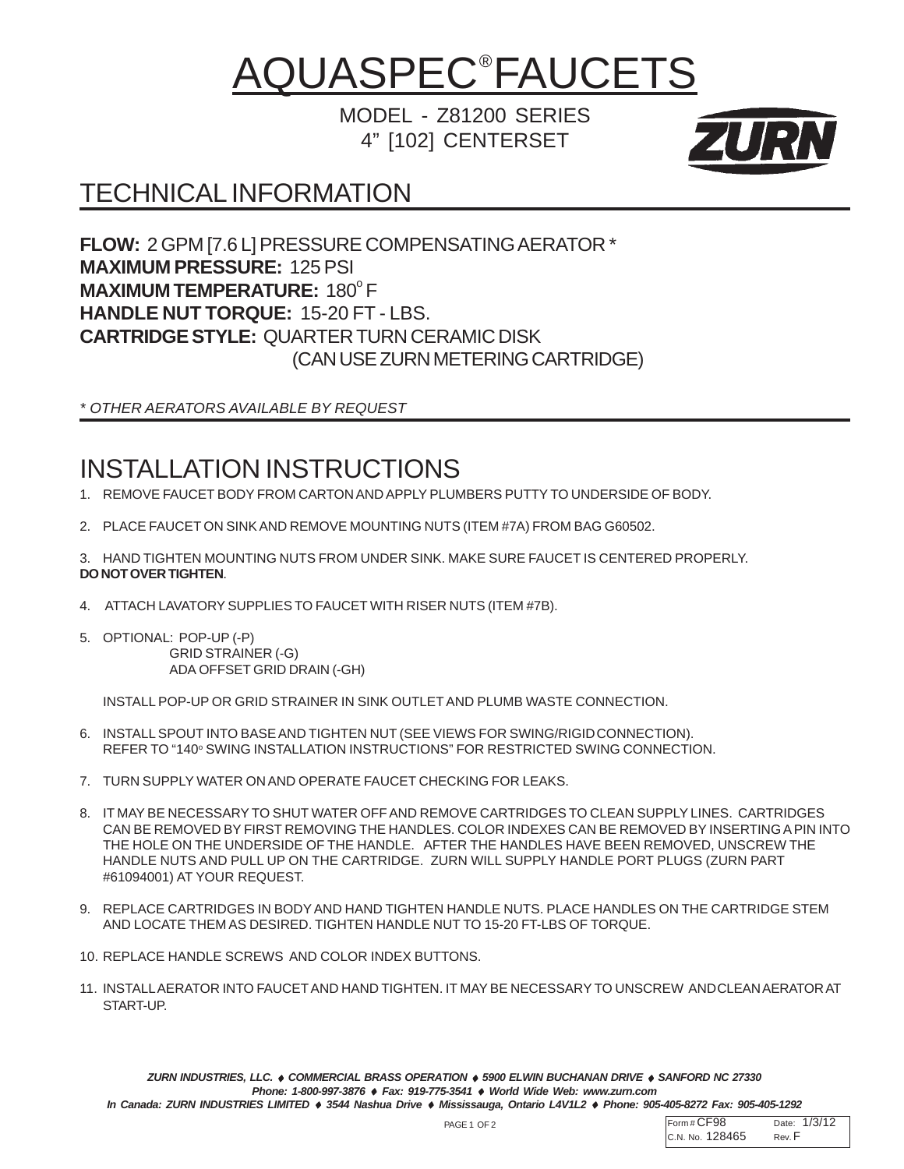## <u>AQUASPEC®FAUCETS</u>

MODEL - Z81200 SERIES 4" [102] CENTERSET



## TECHNICAL INFORMATION

**FLOW:** 2 GPM [7.6 L] PRESSURE COMPENSATING AERATOR \* **MAXIMUM PRESSURE:** 125 PSI **MAXIMUM TEMPERATURE: 180°F HANDLE NUT TORQUE:** 15-20 FT - LBS. **CARTRIDGE STYLE:** QUARTER TURN CERAMIC DISK (CAN USE ZURN METERING CARTRIDGE)

*\* OTHER AERATORS AVAILABLE BY REQUEST*

## INSTALLATION INSTRUCTIONS

- 1. REMOVE FAUCET BODY FROM CARTON AND APPLY PLUMBERS PUTTY TO UNDERSIDE OF BODY.
- 2. PLACE FAUCET ON SINK AND REMOVE MOUNTING NUTS (ITEM #7A) FROM BAG G60502.
- 3. HAND TIGHTEN MOUNTING NUTS FROM UNDER SINK. MAKE SURE FAUCET IS CENTERED PROPERLY. **DO NOT OVER TIGHTEN**.
- 4. ATTACH LAVATORY SUPPLIES TO FAUCET WITH RISER NUTS (ITEM #7B).
- 5. OPTIONAL: POP-UP (-P) GRID STRAINER (-G) ADA OFFSET GRID DRAIN (-GH)

INSTALL POP-UP OR GRID STRAINER IN SINK OUTLET AND PLUMB WASTE CONNECTION.

- 6. INSTALL SPOUT INTO BASE AND TIGHTEN NUT (SEE VIEWS FOR SWING/RIGIDCONNECTION). REFER TO "140° SWING INSTALLATION INSTRUCTIONS" FOR RESTRICTED SWING CONNECTION.
- 7. TURN SUPPLY WATER ON AND OPERATE FAUCET CHECKING FOR LEAKS.
- 8. IT MAY BE NECESSARY TO SHUT WATER OFF AND REMOVE CARTRIDGES TO CLEAN SUPPLY LINES. CARTRIDGES CAN BE REMOVED BY FIRST REMOVING THE HANDLES. COLOR INDEXES CAN BE REMOVED BY INSERTING A PIN INTO THE HOLE ON THE UNDERSIDE OF THE HANDLE. AFTER THE HANDLES HAVE BEEN REMOVED, UNSCREW THE HANDLE NUTS AND PULL UP ON THE CARTRIDGE. ZURN WILL SUPPLY HANDLE PORT PLUGS (ZURN PART #61094001) AT YOUR REQUEST.
- 9. REPLACE CARTRIDGES IN BODY AND HAND TIGHTEN HANDLE NUTS. PLACE HANDLES ON THE CARTRIDGE STEM AND LOCATE THEM AS DESIRED. TIGHTEN HANDLE NUT TO 15-20 FT-LBS OF TORQUE.
- 10. REPLACE HANDLE SCREWS AND COLOR INDEX BUTTONS.
- 11. INSTALL AERATOR INTO FAUCET AND HAND TIGHTEN. IT MAY BE NECESSARY TO UNSCREW ANDCLEAN AERATOR AT START-UP.